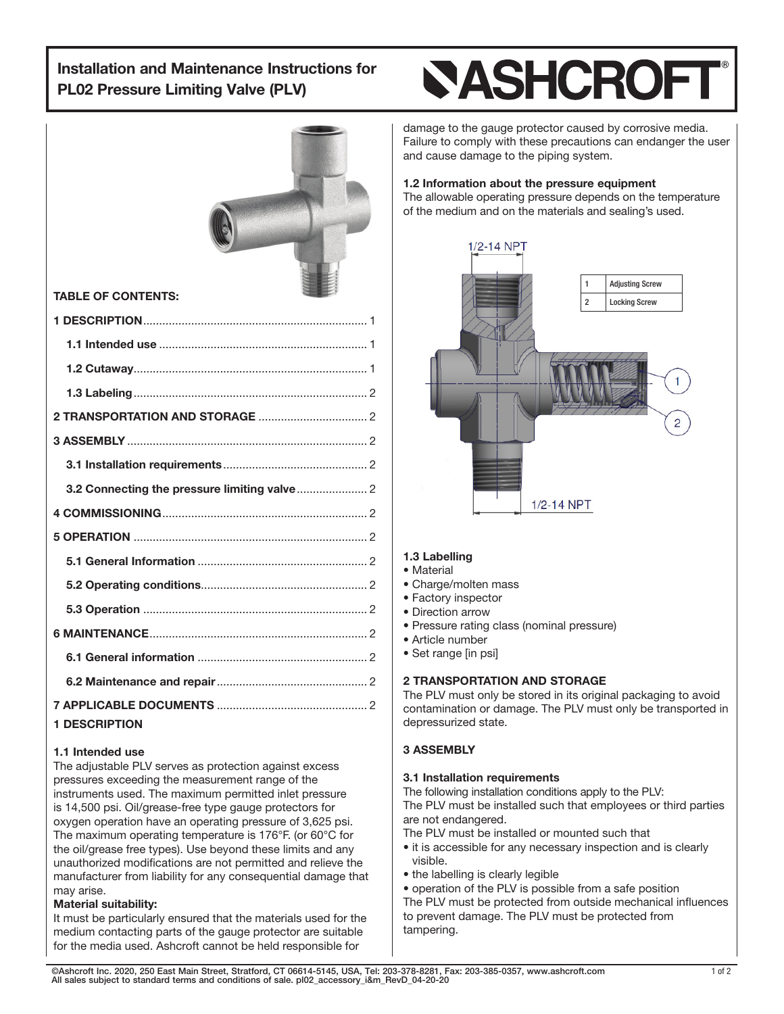## Installation and Maintenance Instructions for PL02 Pressure Limiting Valve (PLV)

# **NASHCROF**



### 1.1 Intended use

The adjustable PLV serves as protection against excess pressures exceeding the measurement range of the instruments used. The maximum permitted inlet pressure is 14,500 psi. Oil/grease-free type gauge protectors for oxygen operation have an operating pressure of 3,625 psi. The maximum operating temperature is 176°F. (or 60°C for the oil/grease free types). Use beyond these limits and any unauthorized modifications are not permitted and relieve the manufacturer from liability for any consequential damage that may arise.

### Material suitability:

It must be particularly ensured that the materials used for the medium contacting parts of the gauge protector are suitable for the media used. Ashcroft cannot be held responsible for

damage to the gauge protector caused by corrosive media. Failure to comply with these precautions can endanger the user and cause damage to the piping system.

## 1.2 Information about the pressure equipment

The allowable operating pressure depends on the temperature of the medium and on the materials and sealing's used.



#### 1.3 Labelling

#### • Material

- Charge/molten mass
- Factory inspector
- Direction arrow
- Pressure rating class (nominal pressure)
- Article number
- Set range [in psi]

#### 2 TRANSPORTATION AND STORAGE

The PLV must only be stored in its original packaging to avoid contamination or damage. The PLV must only be transported in depressurized state.

#### 3 ASSEMBLY

#### 3.1 Installation requirements

The following installation conditions apply to the PLV:

The PLV must be installed such that employees or third parties are not endangered.

The PLV must be installed or mounted such that

- it is accessible for any necessary inspection and is clearly visible.
- the labelling is clearly legible

• operation of the PLV is possible from a safe position The PLV must be protected from outside mechanical influences to prevent damage. The PLV must be protected from tampering.